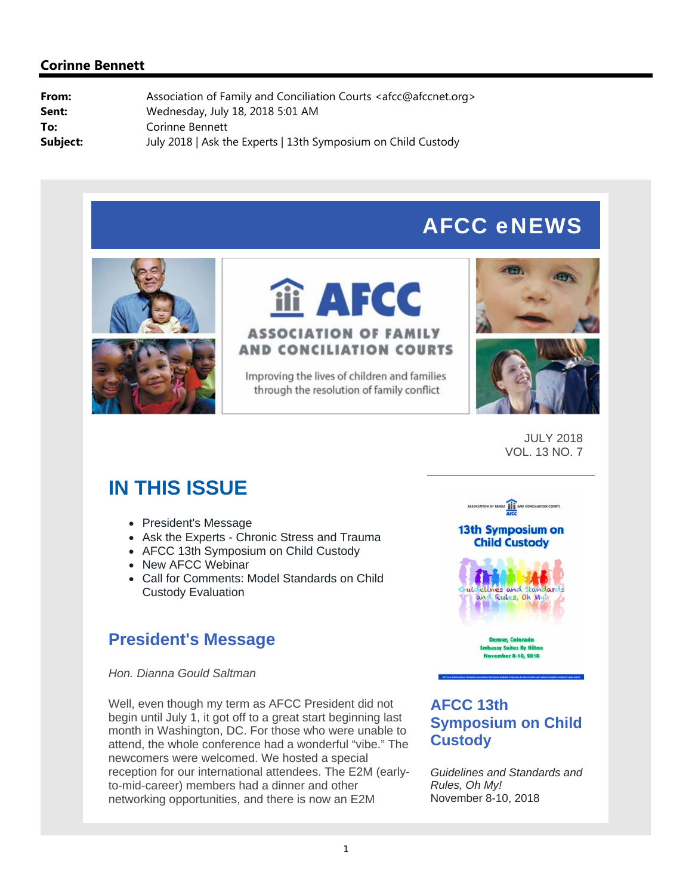# AFCC eNEWS





# **i AFCC ASSOCIATION OF FAMILY AND CONCILIATION COURTS**

Improving the lives of children and families through the resolution of family conflict





JULY 2018 VOL. 13 NO. 7

# **IN THIS ISSUE**

- President's Message
- Ask the Experts Chronic Stress and Trauma
- AFCC 13th Symposium on Child Custody
- New AFCC Webinar
- Call for Comments: Model Standards on Child Custody Evaluation

# **President's Message**

*Hon. Dianna Gould Saltman*

Well, even though my term as AFCC President did not begin until July 1, it got off to a great start beginning last month in Washington, DC. For those who were unable to attend, the whole conference had a wonderful "vibe." The newcomers were welcomed. We hosted a special reception for our international attendees. The E2M (earlyto-mid-career) members had a dinner and other networking opportunities, and there is now an E2M



## **AFCC 13th Symposium on Child Custody**

*Guidelines and Standards and Rules, Oh My!* November 8-10, 2018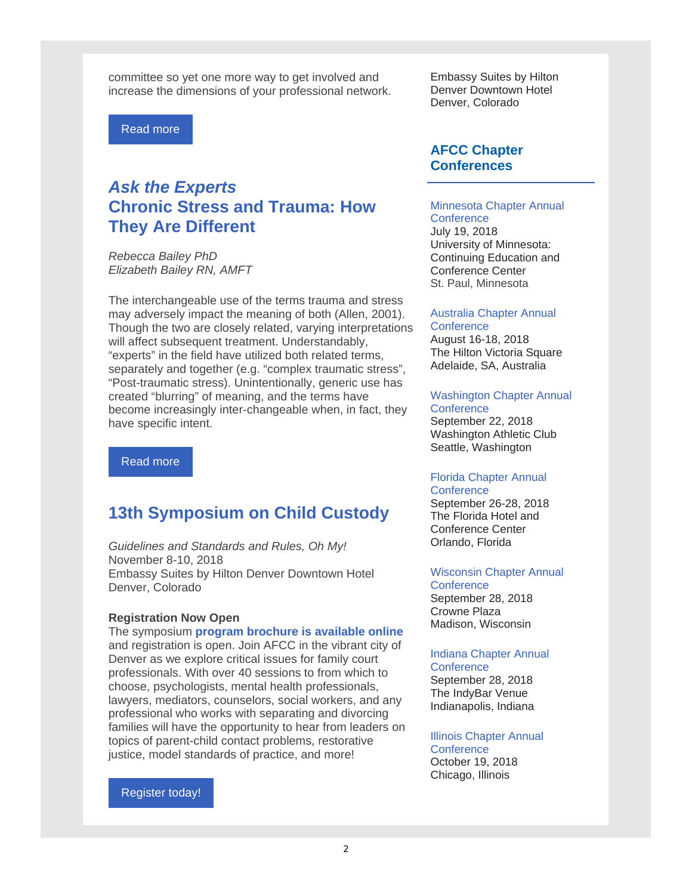committee so yet one more way to get involved and increase the dimensions of your professional network.

Read more

# *Ask the Experts*  **Chronic Stress and Trauma: How They Are Different**

*Rebecca Bailey PhD Elizabeth Bailey RN, AMFT*

The interchangeable use of the terms trauma and stress may adversely impact the meaning of both (Allen, 2001). Though the two are closely related, varying interpretations will affect subsequent treatment. Understandably, "experts" in the field have utilized both related terms, separately and together (e.g. "complex traumatic stress", "Post-traumatic stress). Unintentionally, generic use has created "blurring" of meaning, and the terms have become increasingly inter-changeable when, in fact, they have specific intent.

Read more

### **13th Symposium on Child Custody**

*Guidelines and Standards and Rules, Oh My!* November 8-10, 2018 Embassy Suites by Hilton Denver Downtown Hotel Denver, Colorado

### **Registration Now Open**

The symposium **program brochure is available online**  and registration is open. Join AFCC in the vibrant city of Denver as we explore critical issues for family court professionals. With over 40 sessions to from which to choose, psychologists, mental health professionals, lawyers, mediators, counselors, social workers, and any professional who works with separating and divorcing families will have the opportunity to hear from leaders on topics of parent-child contact problems, restorative justice, model standards of practice, and more!

Register today!

Embassy Suites by Hilton Denver Downtown Hotel Denver, Colorado

### **AFCC Chapter Conferences**

#### Minnesota Chapter Annual **Conference**

July 19, 2018 University of Minnesota: Continuing Education and Conference Center St. Paul, Minnesota

#### Australia Chapter Annual **Conference**

August 16-18, 2018 The Hilton Victoria Square Adelaide, SA, Australia

### Washington Chapter Annual

**Conference** September 22, 2018 Washington Athletic Club Seattle, Washington

#### Florida Chapter Annual **Conference**

September 26-28, 2018 The Florida Hotel and Conference Center Orlando, Florida

### Wisconsin Chapter Annual

**Conference** September 28, 2018 Crowne Plaza Madison, Wisconsin

### Indiana Chapter Annual

**Conference** September 28, 2018 The IndyBar Venue Indianapolis, Indiana

Illinois Chapter Annual **Conference** 

October 19, 2018 Chicago, Illinois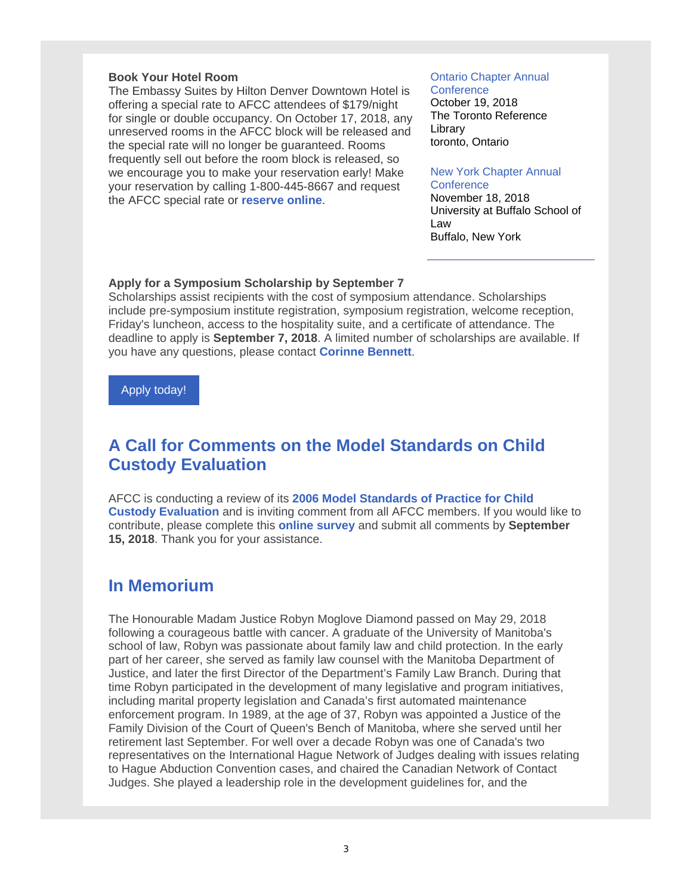### **Book Your Hotel Room**

The Embassy Suites by Hilton Denver Downtown Hotel is offering a special rate to AFCC attendees of \$179/night for single or double occupancy. On October 17, 2018, any unreserved rooms in the AFCC block will be released and the special rate will no longer be guaranteed. Rooms frequently sell out before the room block is released, so we encourage you to make your reservation early! Make your reservation by calling 1-800-445-8667 and request the AFCC special rate or **reserve online**.

### Ontario Chapter Annual

**Conference** October 19, 2018 The Toronto Reference Library toronto, Ontario

#### New York Chapter Annual

**Conference** November 18, 2018 University at Buffalo School of Law Buffalo, New York

#### **Apply for a Symposium Scholarship by September 7**

Scholarships assist recipients with the cost of symposium attendance. Scholarships include pre-symposium institute registration, symposium registration, welcome reception, Friday's luncheon, access to the hospitality suite, and a certificate of attendance. The deadline to apply is **September 7, 2018**. A limited number of scholarships are available. If you have any questions, please contact **Corinne Bennett**.

Apply today!

## **A Call for Comments on the Model Standards on Child Custody Evaluation**

AFCC is conducting a review of its **2006 Model Standards of Practice for Child Custody Evaluation** and is inviting comment from all AFCC members. If you would like to contribute, please complete this **online survey** and submit all comments by **September 15, 2018**. Thank you for your assistance.

### **In Memorium**

The Honourable Madam Justice Robyn Moglove Diamond passed on May 29, 2018 following a courageous battle with cancer. A graduate of the University of Manitoba's school of law, Robyn was passionate about family law and child protection. In the early part of her career, she served as family law counsel with the Manitoba Department of Justice, and later the first Director of the Department's Family Law Branch. During that time Robyn participated in the development of many legislative and program initiatives, including marital property legislation and Canada's first automated maintenance enforcement program. In 1989, at the age of 37, Robyn was appointed a Justice of the Family Division of the Court of Queen's Bench of Manitoba, where she served until her retirement last September. For well over a decade Robyn was one of Canada's two representatives on the International Hague Network of Judges dealing with issues relating to Hague Abduction Convention cases, and chaired the Canadian Network of Contact Judges. She played a leadership role in the development guidelines for, and the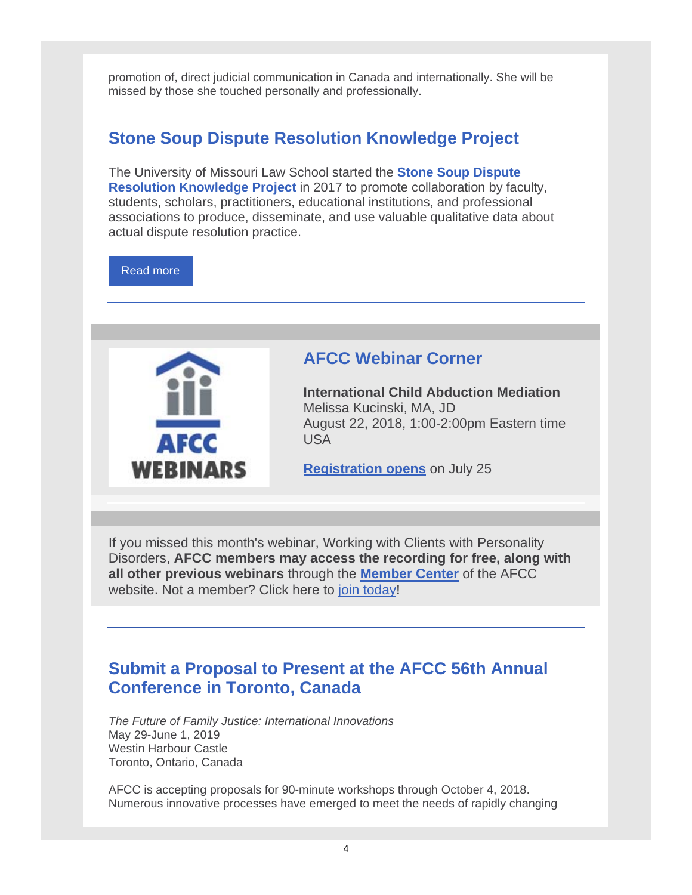promotion of, direct judicial communication in Canada and internationally. She will be missed by those she touched personally and professionally.

# **Stone Soup Dispute Resolution Knowledge Project**

The University of Missouri Law School started the **Stone Soup Dispute Resolution Knowledge Project** in 2017 to promote collaboration by faculty, students, scholars, practitioners, educational institutions, and professional associations to produce, disseminate, and use valuable qualitative data about actual dispute resolution practice.

Read more



## **AFCC Webinar Corner**

**International Child Abduction Mediation** Melissa Kucinski, MA, JD August 22, 2018, 1:00-2:00pm Eastern time USA

**Registration opens** on July 25

If you missed this month's webinar, Working with Clients with Personality Disorders, **AFCC members may access the recording for free, along with all other previous webinars** through the **Member Center** of the AFCC website. Not a member? Click here to join today!

# **Submit a Proposal to Present at the AFCC 56th Annual Conference in Toronto, Canada**

*The Future of Family Justice: International Innovations* May 29-June 1, 2019 Westin Harbour Castle Toronto, Ontario, Canada

AFCC is accepting proposals for 90-minute workshops through October 4, 2018. Numerous innovative processes have emerged to meet the needs of rapidly changing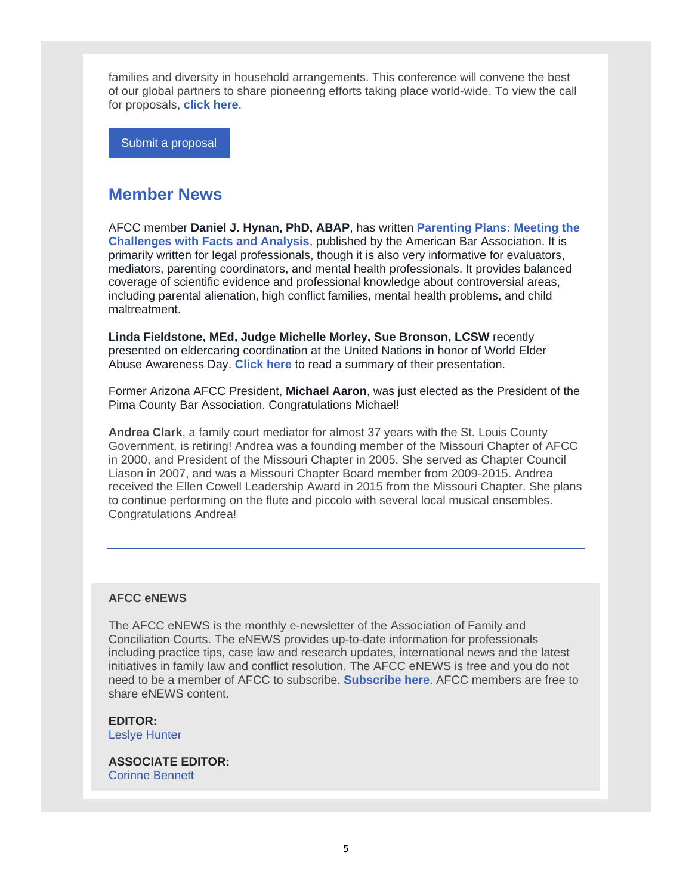families and diversity in household arrangements. This conference will convene the best of our global partners to share pioneering efforts taking place world-wide. To view the call for proposals, **click here**.

Submit a proposal

### **Member News**

AFCC member **Daniel J. Hynan, PhD, ABAP**, has written **Parenting Plans: Meeting the Challenges with Facts and Analysis**, published by the American Bar Association. It is primarily written for legal professionals, though it is also very informative for evaluators, mediators, parenting coordinators, and mental health professionals. It provides balanced coverage of scientific evidence and professional knowledge about controversial areas, including parental alienation, high conflict families, mental health problems, and child maltreatment.

**Linda Fieldstone, MEd, Judge Michelle Morley, Sue Bronson, LCSW** recently presented on eldercaring coordination at the United Nations in honor of World Elder Abuse Awareness Day. **Click here** to read a summary of their presentation.

Former Arizona AFCC President, **Michael Aaron**, was just elected as the President of the Pima County Bar Association. Congratulations Michael!

**Andrea Clark**, a family court mediator for almost 37 years with the St. Louis County Government, is retiring! Andrea was a founding member of the Missouri Chapter of AFCC in 2000, and President of the Missouri Chapter in 2005. She served as Chapter Council Liason in 2007, and was a Missouri Chapter Board member from 2009-2015. Andrea received the Ellen Cowell Leadership Award in 2015 from the Missouri Chapter. She plans to continue performing on the flute and piccolo with several local musical ensembles. Congratulations Andrea!

### **AFCC eNEWS**

The AFCC eNEWS is the monthly e-newsletter of the Association of Family and Conciliation Courts. The eNEWS provides up-to-date information for professionals including practice tips, case law and research updates, international news and the latest initiatives in family law and conflict resolution. The AFCC eNEWS is free and you do not need to be a member of AFCC to subscribe. **Subscribe here**. AFCC members are free to share eNEWS content.

**EDITOR:** Leslye Hunter

**ASSOCIATE EDITOR:** Corinne Bennett